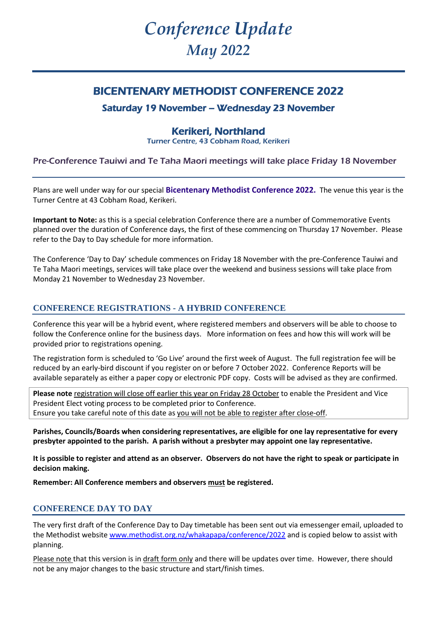# *Conference Update May 2022*

## BICENTENARY METHODIST CONFERENCE 2022

## Saturday 19 November – Wednesday 23 November

## Kerikeri, Northland

Turner Centre, 43 Cobham Road, Kerikeri

### Pre-Conference Tauiwi and Te Taha Maori meetings will take place Friday 18 November

Plans are well under way for our special **Bicentenary Methodist Conference 2022.** The venue this year is the Turner Centre at 43 Cobham Road, Kerikeri.

**Important to Note:** as this is a special celebration Conference there are a number of Commemorative Events planned over the duration of Conference days, the first of these commencing on Thursday 17 November. Please refer to the Day to Day schedule for more information.

The Conference 'Day to Day' schedule commences on Friday 18 November with the pre-Conference Tauiwi and Te Taha Maori meetings, services will take place over the weekend and business sessions will take place from Monday 21 November to Wednesday 23 November.

### **CONFERENCE REGISTRATIONS - A HYBRID CONFERENCE**

Conference this year will be a hybrid event, where registered members and observers will be able to choose to follow the Conference online for the business days. More information on fees and how this will work will be provided prior to registrations opening.

The registration form is scheduled to 'Go Live' around the first week of August. The full registration fee will be reduced by an early-bird discount if you register on or before 7 October 2022. Conference Reports will be available separately as either a paper copy or electronic PDF copy. Costs will be advised as they are confirmed.

**Please note** registration will close off earlier this year on Friday 28 October to enable the President and Vice President Elect voting process to be completed prior to Conference. Ensure you take careful note of this date as you will not be able to register after close-off.

**Parishes, Councils/Boards when considering representatives, are eligible for one lay representative for every presbyter appointed to the parish. A parish without a presbyter may appoint one lay representative.**

**It is possible to register and attend as an observer. Observers do not have the right to speak or participate in decision making.** 

**Remember: All Conference members and observers must be registered.**

#### **CONFERENCE DAY TO DAY**

The very first draft of the Conference Day to Day timetable has been sent out via emessenger email, uploaded to the Methodist website [www.methodist.org.nz/whakapapa/conference/2022](http://www.methodist.org.nz/whakapapa/conference/2022) and is copied below to assist with planning.

Please note that this version is in draft form only and there will be updates over time. However, there should not be any major changes to the basic structure and start/finish times.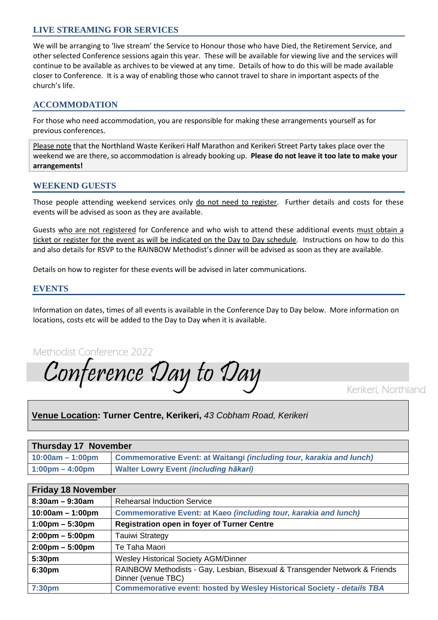#### **LIVE STREAMING FOR SERVICES**

We will be arranging to 'live stream' the Service to Honour those who have Died, the Retirement Service, and other selected Conference sessions again this year. These will be available for viewing live and the services will continue to be available as archives to be viewed at any time. Details of how to do this will be made available closer to Conference. It is a way of enabling those who cannot travel to share in important aspects of the church's life.

#### **ACCOMMODATION**

For those who need accommodation, you are responsible for making these arrangements yourself as for previous conferences.

Please note that the Northland Waste Kerikeri Half Marathon and Kerikeri Street Party takes place over the weekend we are there, so accommodation is already booking up. **Please do not leave it too late to make your arrangements!**

#### **WEEKEND GUESTS**

Those people attending weekend services only do not need to register. Further details and costs for these events will be advised as soon as they are available.

Guests who are not registered for Conference and who wish to attend these additional events must obtain a ticket or register for the event as will be indicated on the Day to Day schedule. Instructions on how to do this and also details for RSVP to the RAINBOW Methodist's dinner will be advised as soon as they are available.

Details on how to register for these events will be advised in later communications.

#### **EVENTS**

Information on dates, times of all events is available in the Conference Day to Day below. More information on locations, costs etc will be added to the Day to Day when it is available.

Methodist Conference 2022

Conference Day to Day

Kerikeri, Northland

#### **Venue Location: Turner Centre, Kerikeri,** *43 Cobham Road, Kerikeri*

| Thursday 17 November              |                                                                             |  |
|-----------------------------------|-----------------------------------------------------------------------------|--|
| $10:00am - 1:00pm$                | <b>Commemorative Event: at Waitangi (including tour, karakia and lunch)</b> |  |
| $1:00 \text{pm} - 4:00 \text{pm}$ | <b>Walter Lowry Event (including hākari)</b>                                |  |

| <b>Friday 18 November</b>         |                                                                                                   |
|-----------------------------------|---------------------------------------------------------------------------------------------------|
| $8:30am - 9:30am$                 | <b>Rehearsal Induction Service</b>                                                                |
| $10:00am - 1:00pm$                | <b>Commemorative Event: at Kaeo (including tour, karakia and lunch)</b>                           |
| $1:00 \text{pm} - 5:30 \text{pm}$ | <b>Registration open in foyer of Turner Centre</b>                                                |
| $2:00 \text{pm} - 5:00 \text{pm}$ | <b>Tauiwi Strategy</b>                                                                            |
| $2:00 \text{pm} - 5:00 \text{pm}$ | Te Taha Maori                                                                                     |
| 5:30pm                            | <b>Wesley Historical Society AGM/Dinner</b>                                                       |
| 6:30pm                            | RAINBOW Methodists - Gay, Lesbian, Bisexual & Transgender Network & Friends<br>Dinner (venue TBC) |
| 7:30pm                            | <b>Commemorative event: hosted by Wesley Historical Society - details TBA</b>                     |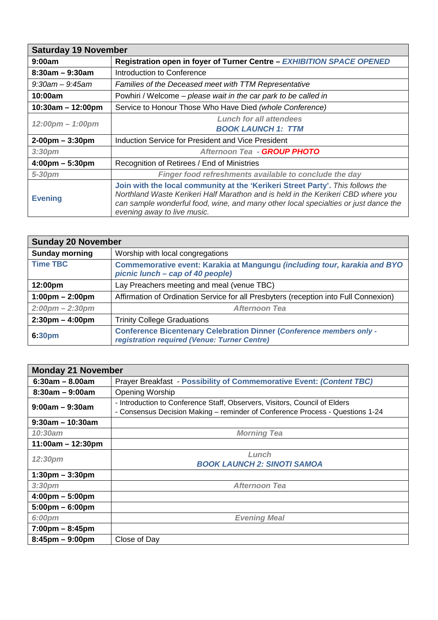| <b>Saturday 19 November</b>        |                                                                                                                                                                                                                                                                                          |
|------------------------------------|------------------------------------------------------------------------------------------------------------------------------------------------------------------------------------------------------------------------------------------------------------------------------------------|
| 9:00am                             | Registration open in foyer of Turner Centre - EXHIBITION SPACE OPENED                                                                                                                                                                                                                    |
| $8:30am - 9:30am$                  | Introduction to Conference                                                                                                                                                                                                                                                               |
| $9:30$ am — $9:45$ am              | Families of the Deceased meet with TTM Representative                                                                                                                                                                                                                                    |
| 10:00am                            | Powhiri / Welcome – please wait in the car park to be called in                                                                                                                                                                                                                          |
| $10:30am - 12:00pm$                | Service to Honour Those Who Have Died (whole Conference)                                                                                                                                                                                                                                 |
|                                    | <b>Lunch for all attendees</b>                                                                                                                                                                                                                                                           |
| $12:00 \text{pm} - 1:00 \text{pm}$ | <b>BOOK LAUNCH 1: TTM</b>                                                                                                                                                                                                                                                                |
| $2-00$ pm $-3:30$ pm               | Induction Service for President and Vice President                                                                                                                                                                                                                                       |
| 3:30 <sub>pm</sub>                 | Afternoon Tea - GROUP PHOTO                                                                                                                                                                                                                                                              |
| $4:00 \text{pm} - 5:30 \text{pm}$  | Recognition of Retirees / End of Ministries                                                                                                                                                                                                                                              |
| 5-30pm                             | Finger food refreshments available to conclude the day                                                                                                                                                                                                                                   |
| <b>Evening</b>                     | Join with the local community at the 'Kerikeri Street Party'. This follows the<br>Northland Waste Kerikeri Half Marathon and is held in the Kerikeri CBD where you<br>can sample wonderful food, wine, and many other local specialties or just dance the<br>evening away to live music. |

| <b>Sunday 20 November</b>         |                                                                                                                             |
|-----------------------------------|-----------------------------------------------------------------------------------------------------------------------------|
| <b>Sunday morning</b>             | Worship with local congregations                                                                                            |
| <b>Time TBC</b>                   | Commemorative event: Karakia at Mangungu (including tour, karakia and BYO<br>picnic lunch – cap of 40 people)               |
| 12:00pm                           | Lay Preachers meeting and meal (venue TBC)                                                                                  |
| $1:00 \text{pm} - 2:00 \text{pm}$ | Affirmation of Ordination Service for all Presbyters (reception into Full Connexion)                                        |
| $2:00 \text{pm} - 2:30 \text{pm}$ | <b>Afternoon Tea</b>                                                                                                        |
| $2:30 \text{pm} - 4:00 \text{pm}$ | <b>Trinity College Graduations</b>                                                                                          |
| 6:30pm                            | <b>Conference Bicentenary Celebration Dinner (Conference members only -</b><br>registration required (Venue: Turner Centre) |

| <b>Monday 21 November</b>         |                                                                                                                                                             |
|-----------------------------------|-------------------------------------------------------------------------------------------------------------------------------------------------------------|
| $6:30am - 8.00am$                 | <b>Prayer Breakfast - Possibility of Commemorative Event: (Content TBC)</b>                                                                                 |
| $8:30am - 9:00am$                 | <b>Opening Worship</b>                                                                                                                                      |
| $9:00am - 9:30am$                 | - Introduction to Conference Staff, Observers, Visitors, Council of Elders<br>- Consensus Decision Making - reminder of Conference Process - Questions 1-24 |
| $9:30$ am – 10:30am               |                                                                                                                                                             |
| 10:30am                           | <b>Morning Tea</b>                                                                                                                                          |
| $11:00am - 12:30pm$               |                                                                                                                                                             |
| 12:30pm                           | Lunch                                                                                                                                                       |
|                                   | <b>BOOK LAUNCH 2: SINOTI SAMOA</b>                                                                                                                          |
| $1:30 \text{pm} - 3:30 \text{pm}$ |                                                                                                                                                             |
| 3:30 <sub>pm</sub>                | Afternoon Tea                                                                                                                                               |
| $4:00 \text{pm} - 5:00 \text{pm}$ |                                                                                                                                                             |
| $5:00 \text{pm} - 6:00 \text{pm}$ |                                                                                                                                                             |
| 6:00pm                            | <b>Evening Meal</b>                                                                                                                                         |
| $7:00 \text{pm} - 8:45 \text{pm}$ |                                                                                                                                                             |
| $8:45$ pm $-9:00$ pm              | Close of Day                                                                                                                                                |